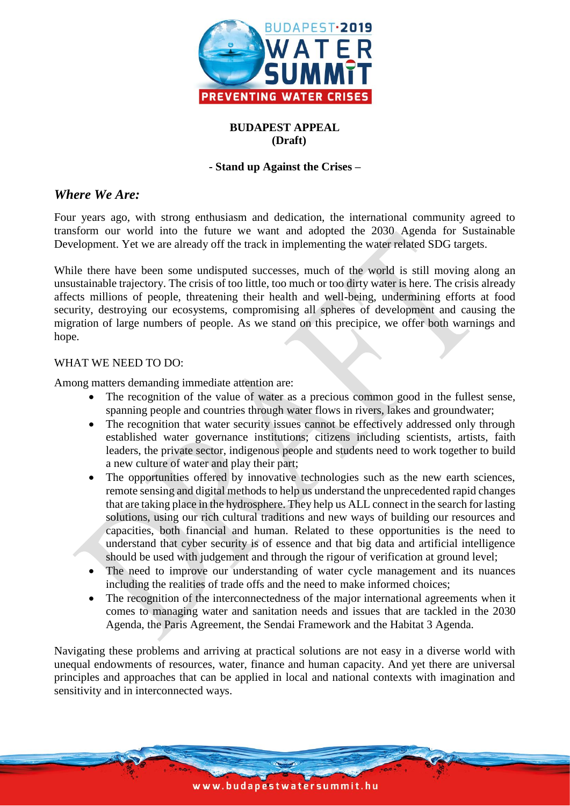

# **BUDAPEST APPEAL (Draft)**

#### **- Stand up Against the Crises –**

## *Where We Are:*

Four years ago, with strong enthusiasm and dedication, the international community agreed to transform our world into the future we want and adopted the 2030 Agenda for Sustainable Development. Yet we are already off the track in implementing the water related SDG targets.

While there have been some undisputed successes, much of the world is still moving along an unsustainable trajectory. The crisis of too little, too much or too dirty water is here. The crisis already affects millions of people, threatening their health and well-being, undermining efforts at food security, destroying our ecosystems, compromising all spheres of development and causing the migration of large numbers of people. As we stand on this precipice, we offer both warnings and hope.

#### WHAT WE NEED TO DO:

Among matters demanding immediate attention are:

- The recognition of the value of water as a precious common good in the fullest sense, spanning people and countries through water flows in rivers, lakes and groundwater;
- The recognition that water security issues cannot be effectively addressed only through established water governance institutions; citizens including scientists, artists, faith leaders, the private sector, indigenous people and students need to work together to build a new culture of water and play their part;
- The opportunities offered by innovative technologies such as the new earth sciences, remote sensing and digital methods to help us understand the unprecedented rapid changes that are taking place in the hydrosphere. They help us ALL connect in the search for lasting solutions, using our rich cultural traditions and new ways of building our resources and capacities, both financial and human. Related to these opportunities is the need to understand that cyber security is of essence and that big data and artificial intelligence should be used with judgement and through the rigour of verification at ground level;
- The need to improve our understanding of water cycle management and its nuances including the realities of trade offs and the need to make informed choices;
- The recognition of the interconnectedness of the major international agreements when it comes to managing water and sanitation needs and issues that are tackled in the 2030 Agenda, the Paris Agreement, the Sendai Framework and the Habitat 3 Agenda.

Navigating these problems and arriving at practical solutions are not easy in a diverse world with unequal endowments of resources, water, finance and human capacity. And yet there are universal principles and approaches that can be applied in local and national contexts with imagination and sensitivity and in interconnected ways.

www.budapestwatersummit.hu